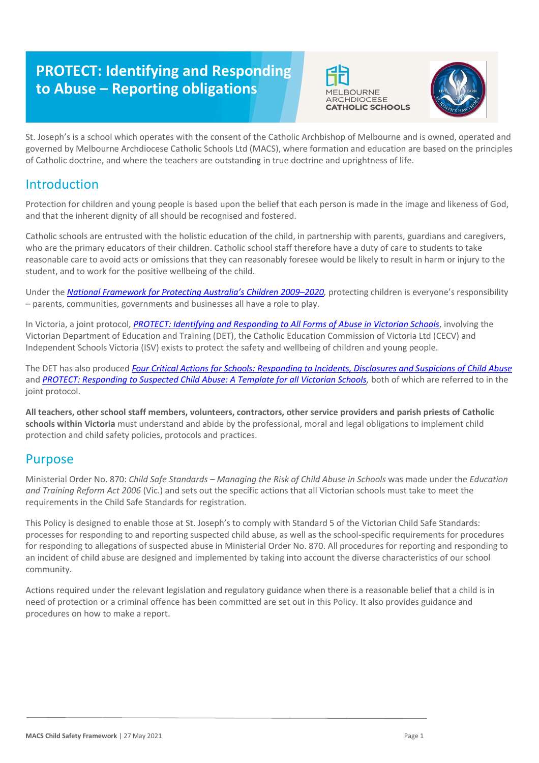# **PROTECT: Identifying and Responding to Abuse – Reporting obligations**





St. Joseph's is a school which operates with the consent of the Catholic Archbishop of Melbourne and is owned, operated and governed by Melbourne Archdiocese Catholic Schools Ltd (MACS), where formation and education are based on the principles of Catholic doctrine, and where the teachers are outstanding in true doctrine and uprightness of life.

# Introduction

Protection for children and young people is based upon the belief that each person is made in the image and likeness of God, and that the inherent dignity of all should be recognised and fostered.

Catholic schools are entrusted with the holistic education of the child, in partnership with parents, guardians and caregivers, who are the primary educators of their children. Catholic school staff therefore have a duty of care to students to take reasonable care to avoid acts or omissions that they can reasonably foresee would be likely to result in harm or injury to the student, and to work for the positive wellbeing of the child.

Under the *National Framework for Protecting Australia's Children 2009–2020*, protecting children is everyone's responsibility – parents, communities, governments and businesses all have a role to play.

In Victoria, a joint protocol*, [PROTECT: Identifying and Responding to All Forms of Abuse in Victorian Schools](http://www.education.vic.gov.au/Documents/about/programs/health/protect/ChildSafeStandard5_SchoolsGuide.pdf)*[, i](http://www.education.vic.gov.au/Documents/about/programs/health/protect/ChildSafeStandard5_SchoolsGuide.pdf)nvolving the Victorian Department of Education and Training (DET), the Catholic Education Commission of Victoria Ltd (CECV) and Independent Schools Victoria (ISV) exists to protect the safety and wellbeing of children and young people.

The DET has also produced *[Four Critical Actions for Schools: Responding to Incidents, Disclosures and Suspicions of Child Abuse](http://www.education.vic.gov.au/Documents/about/programs/health/protect/FourCriticalActions_ChildAbuse.pdf)* and *[PROTECT: Responding to Suspected Child Abuse: A Template for all Victorian Schools,](http://www.education.vic.gov.au/Documents/about/programs/health/protect/PROTECT_Responding_TemplateSchools.pdf)* both of which are referred to in the joint protocol.

**All teachers, other school staff members, volunteers, contractors, other service providers and parish priests of Catholic schools within Victoria** must understand and abide by the professional, moral and legal obligations to implement child protection and child safety policies, protocols and practices.

# Purpose

Ministerial Order No. 870: *Child Safe Standards – Managing the Risk of Child Abuse in Schools* was made under the *Education and Training Reform Act 2006* (Vic.) and sets out the specific actions that all Victorian schools must take to meet the requirements in the Child Safe Standards for registration.

This Policy is designed to enable those at St. Joseph's to comply with Standard 5 of the Victorian Child Safe Standards: processes for responding to and reporting suspected child abuse, as well as the school-specific requirements for procedures for responding to allegations of suspected abuse in Ministerial Order No. 870. All procedures for reporting and responding to an incident of child abuse are designed and implemented by taking into account the diverse characteristics of our school community.

Actions required under the relevant legislation and regulatory guidance when there is a reasonable belief that a child is in need of protection or a criminal offence has been committed are set out in this Policy. It also provides guidance and procedures on how to make a report.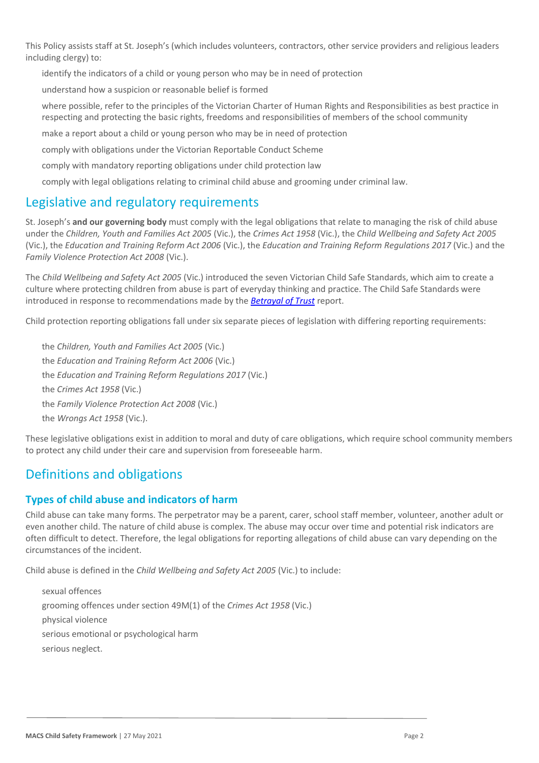This Policy assists staff at St. Joseph's (which includes volunteers, contractors, other service providers and religious leaders including clergy) to:

identify the indicators of a child or young person who may be in need of protection

understand how a suspicion or reasonable belief is formed

where possible, refer to the principles of the Victorian Charter of Human Rights and Responsibilities as best practice in respecting and protecting the basic rights, freedoms and responsibilities of members of the school community

make a report about a child or young person who may be in need of protection

comply with obligations under the Victorian Reportable Conduct Scheme

comply with mandatory reporting obligations under child protection law

comply with legal obligations relating to criminal child abuse and grooming under criminal law.

# Legislative and regulatory requirements

St. Joseph's **and our governing body** must comply with the legal obligations that relate to managing the risk of child abuse under the *Children, Youth and Families Act 2005* (Vic.), the *Crimes Act 1958* (Vic.), the *Child Wellbeing and Safety Act 2005* (Vic.), the *Education and Training Reform Act 2006* (Vic.), the *Education and Training Reform Regulations 2017* (Vic.) and the *Family Violence Protection Act 2008* (Vic.).

The *Child Wellbeing and Safety Act 2005* (Vic.) introduced the seven Victorian Child Safe Standards, which aim to create a culture where protecting children from abuse is part of everyday thinking and practice. The Child Safe Standards were introduced in response to recommendations made by the *[Betrayal of Trust](http://www.parliament.vic.gov.au/file_uploads/Inquiry_into_Handling_of_Abuse_Volume_2_FINAL_web_y78t3Wpb.pdf)* report.

Child protection reporting obligations fall under six separate pieces of legislation with differing reporting requirements:

● the *Children, Youth and Families Act 2005* (Vic.) the *Education and Training Reform Act 2006* (Vic.) the *Education and Training Reform Regulations 2017* (Vic.) the *Crimes Act 1958* (Vic.) the *Family Violence Protection Act 2008* (Vic.) the *Wrongs Act 1958* (Vic.).

These legislative obligations exist in addition to moral and duty of care obligations, which require school community members to protect any child under their care and supervision from foreseeable harm.

# Definitions and obligations

## **Types of child abuse and indicators of harm**

Child abuse can take many forms. The perpetrator may be a parent, carer, school staff member, volunteer, another adult or even another child. The nature of child abuse is complex. The abuse may occur over time and potential risk indicators are often difficult to detect. Therefore, the legal obligations for reporting allegations of child abuse can vary depending on the circumstances of the incident.

Child abuse is defined in the *Child Wellbeing and Safety Act 2005* (Vic.) to include:

sexual offences grooming offences under section 49M(1) of the *Crimes Act 1958* (Vic.) physical violence serious emotional or psychological harm serious neglect.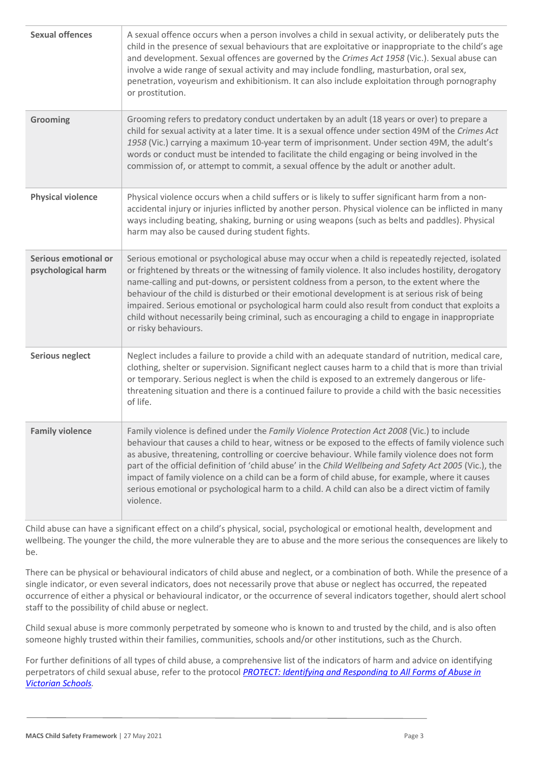| <b>Sexual offences</b>                     | A sexual offence occurs when a person involves a child in sexual activity, or deliberately puts the<br>child in the presence of sexual behaviours that are exploitative or inappropriate to the child's age<br>and development. Sexual offences are governed by the Crimes Act 1958 (Vic.). Sexual abuse can<br>involve a wide range of sexual activity and may include fondling, masturbation, oral sex,<br>penetration, voyeurism and exhibitionism. It can also include exploitation through pornography<br>or prostitution.                                                                                                          |
|--------------------------------------------|------------------------------------------------------------------------------------------------------------------------------------------------------------------------------------------------------------------------------------------------------------------------------------------------------------------------------------------------------------------------------------------------------------------------------------------------------------------------------------------------------------------------------------------------------------------------------------------------------------------------------------------|
| <b>Grooming</b>                            | Grooming refers to predatory conduct undertaken by an adult (18 years or over) to prepare a<br>child for sexual activity at a later time. It is a sexual offence under section 49M of the Crimes Act<br>1958 (Vic.) carrying a maximum 10-year term of imprisonment. Under section 49M, the adult's<br>words or conduct must be intended to facilitate the child engaging or being involved in the<br>commission of, or attempt to commit, a sexual offence by the adult or another adult.                                                                                                                                               |
| <b>Physical violence</b>                   | Physical violence occurs when a child suffers or is likely to suffer significant harm from a non-<br>accidental injury or injuries inflicted by another person. Physical violence can be inflicted in many<br>ways including beating, shaking, burning or using weapons (such as belts and paddles). Physical<br>harm may also be caused during student fights.                                                                                                                                                                                                                                                                          |
| Serious emotional or<br>psychological harm | Serious emotional or psychological abuse may occur when a child is repeatedly rejected, isolated<br>or frightened by threats or the witnessing of family violence. It also includes hostility, derogatory<br>name-calling and put-downs, or persistent coldness from a person, to the extent where the<br>behaviour of the child is disturbed or their emotional development is at serious risk of being<br>impaired. Serious emotional or psychological harm could also result from conduct that exploits a<br>child without necessarily being criminal, such as encouraging a child to engage in inappropriate<br>or risky behaviours. |
| <b>Serious neglect</b>                     | Neglect includes a failure to provide a child with an adequate standard of nutrition, medical care,<br>clothing, shelter or supervision. Significant neglect causes harm to a child that is more than trivial<br>or temporary. Serious neglect is when the child is exposed to an extremely dangerous or life-<br>threatening situation and there is a continued failure to provide a child with the basic necessities<br>of life.                                                                                                                                                                                                       |
| <b>Family violence</b>                     | Family violence is defined under the Family Violence Protection Act 2008 (Vic.) to include<br>behaviour that causes a child to hear, witness or be exposed to the effects of family violence such<br>as abusive, threatening, controlling or coercive behaviour. While family violence does not form<br>part of the official definition of 'child abuse' in the Child Wellbeing and Safety Act 2005 (Vic.), the<br>impact of family violence on a child can be a form of child abuse, for example, where it causes<br>serious emotional or psychological harm to a child. A child can also be a direct victim of family<br>violence.     |

Child abuse can have a significant effect on a child's physical, social, psychological or emotional health, development and wellbeing. The younger the child, the more vulnerable they are to abuse and the more serious the consequences are likely to be.

There can be physical or behavioural indicators of child abuse and neglect, or a combination of both. While the presence of a single indicator, or even several indicators, does not necessarily prove that abuse or neglect has occurred, the repeated occurrence of either a physical or behavioural indicator, or the occurrence of several indicators together, should alert school staff to the possibility of child abuse or neglect.

Child sexual abuse is more commonly perpetrated by someone who is known to and trusted by the child, and is also often someone highly trusted within their families, communities, schools and/or other institutions, such as the Church.

For further definitions of all types of child abuse, a comprehensive list of the indicators of harm and advice on identifying perpetrators of child sexual abuse, refer to the protocol *[PROTECT: Identifying and Responding to All Forms of Abuse in](https://www.education.vic.gov.au/Documents/about/programs/health/protect/ChildSafeStandard5_SchoolsGuide.pdf)  [Victorian Schools](https://www.education.vic.gov.au/Documents/about/programs/health/protect/ChildSafeStandard5_SchoolsGuide.pdf)[.](http://www.education.vic.gov.au/Documents/about/programs/health/protect/ChildSafeStandard5_SchoolsGuide.pdf)*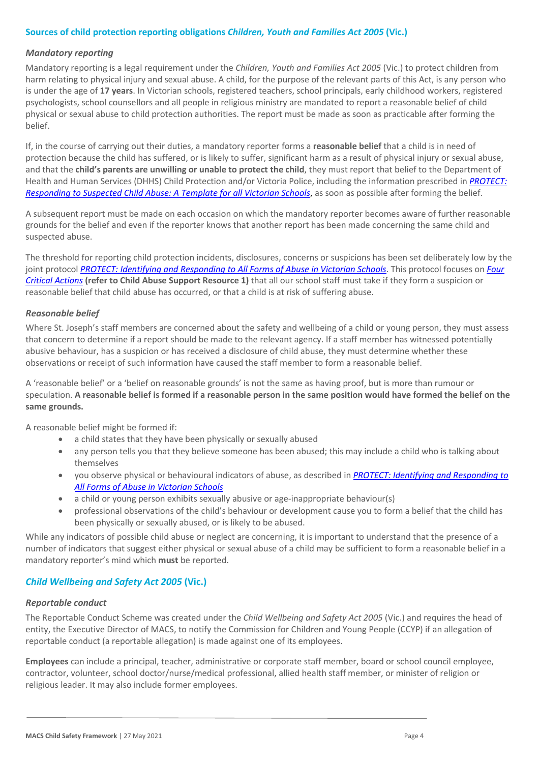#### **Sources of child protection reporting obligations** *Children, Youth and Families Act 2005* **(Vic.)**

#### *Mandatory reporting*

Mandatory reporting is a legal requirement under the *Children, Youth and Families Act 2005* (Vic.) to protect children from harm relating to physical injury and sexual abuse. A child, for the purpose of the relevant parts of this Act, is any person who is under the age of **17 years**. In Victorian schools, registered teachers, school principals, early childhood workers, registered psychologists, school counsellors and all people in religious ministry are mandated to report a reasonable belief of child physical or sexual abuse to child protection authorities. The report must be made as soon as practicable after forming the belief.

If, in the course of carrying out their duties, a mandatory reporter forms a **reasonable belief** that a child is in need of protection because the child has suffered, or is likely to suffer, significant harm as a result of physical injury or sexual abuse, and that the **child's parents are unwilling or unable to protect the child**, they must report that belief to the Department of Health and Human Services (DHHS) Child Protection and/or Victoria Police, including the information prescribed in *[PROTECT:](http://www.education.vic.gov.au/Documents/about/programs/health/protect/PROTECT_Responding_TemplateSchools.pdf)  [Responding to Suspected Child Abuse: A Template for all Victorian Schools](http://www.education.vic.gov.au/Documents/about/programs/health/protect/PROTECT_Responding_TemplateSchools.pdf)*, as soon as possible after forming the belief.

A subsequent report must be made on each occasion on which the mandatory reporter becomes aware of further reasonable grounds for the belief and even if the reporter knows that another report has been made concerning the same child and suspected abuse.

The threshold for reporting child protection incidents, disclosures, concerns or suspicions has been set deliberately low by the joint protocol *[PROTECT: Identifying and Responding to All Forms of Abuse in Victorian Schools](http://www.education.vic.gov.au/Documents/about/programs/health/protect/ChildSafeStandard5_SchoolsGuide.pdf)*[. T](http://www.education.vic.gov.au/Documents/about/programs/health/protect/ChildSafeStandard5_SchoolsGuide.pdf)his protocol focuses on *[Four](http://www.education.vic.gov.au/Documents/about/programs/health/protect/FourCriticalActions_ChildAbuse.pdf)  [Critical Actions](http://www.education.vic.gov.au/Documents/about/programs/health/protect/FourCriticalActions_ChildAbuse.pdf)* **(refer to Child Abuse Support Resource 1)** that all our school staff must take if they form a suspicion or reasonable belief that child abuse has occurred, or that a child is at risk of suffering abuse.

#### <span id="page-3-0"></span>*Reasonable belief*

Where St. Joseph's staff members are concerned about the safety and wellbeing of a child or young person, they must assess that concern to determine if a report should be made to the relevant agency. If a staff member has witnessed potentially abusive behaviour, has a suspicion or has received a disclosure of child abuse, they must determine whether these observations or receipt of such information have caused the staff member to form a reasonable belief.

A 'reasonable belief' or a 'belief on reasonable grounds' is not the same as having proof, but is more than rumour or speculation. **A reasonable belief is formed if a reasonable person in the same position would have formed the belief on the same grounds.**

A reasonable belief might be formed if:

- a child states that they have been physically or sexually abused
- any person tells you that they believe someone has been abused; this may include a child who is talking about themselves
- you observe physical or behavioural indicators of abuse, as described in *[PROTECT: Identifying and Responding to](http://www.education.vic.gov.au/Documents/about/programs/health/protect/ChildSafeStandard5_SchoolsGuide.pdf)  [All Forms of Abuse in Victorian Schools](http://www.education.vic.gov.au/Documents/about/programs/health/protect/ChildSafeStandard5_SchoolsGuide.pdf)*
- a child or young person exhibits sexually abusive or age-inappropriate behaviour(s)
- professional observations of the child's behaviour or development cause you to form a belief that the child has been physically or sexually abused, or is likely to be abused.

While any indicators of possible child abuse or neglect are concerning, it is important to understand that the presence of a number of indicators that suggest either physical or sexual abuse of a child may be sufficient to form a reasonable belief in a mandatory reporter's mind which **must** be reported.

#### *Child Wellbeing and Safety Act 2005* **(Vic.)**

#### *Reportable conduct*

The Reportable Conduct Scheme was created under the *Child Wellbeing and Safety Act 2005* (Vic.) and requires the head of entity, the Executive Director of MACS, to notify the Commission for Children and Young People (CCYP) if an allegation of reportable conduct (a reportable allegation) is made against one of its employees.

**Employees** can include a principal, teacher, administrative or corporate staff member, board or school council employee, contractor, volunteer, school doctor/nurse/medical professional, allied health staff member, or minister of religion or religious leader. It may also include former employees.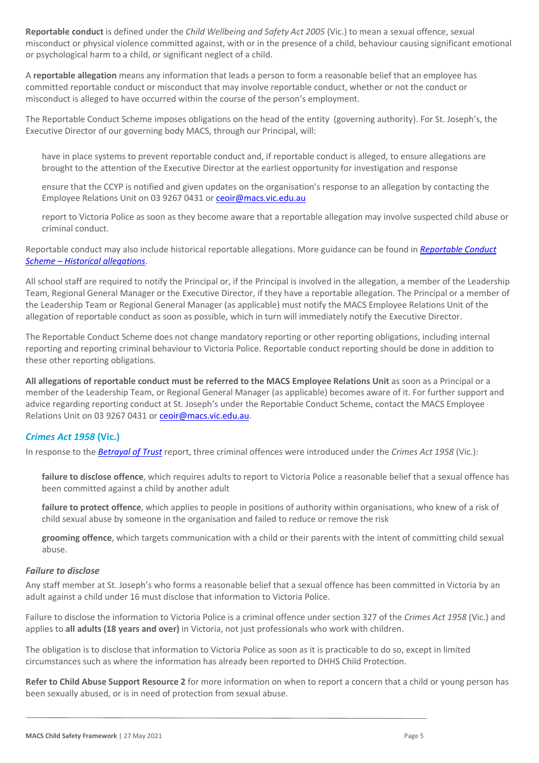**Reportable conduct** is defined under the *Child Wellbeing and Safety Act 2005* (Vic.) to mean a sexual offence, sexual misconduct or physical violence committed against, with or in the presence of a child, behaviour causing significant emotional or psychological harm to a child, or significant neglect of a child.

A **reportable allegation** means any information that leads a person to form a reasonable belief that an employee has committed reportable conduct or misconduct that may involve reportable conduct, whether or not the conduct or misconduct is alleged to have occurred within the course of the person's employment.

The Reportable Conduct Scheme imposes obligations on the head of the entity (governing authority). For St. Joseph's, the Executive Director of our governing body MACS, through our Principal, will:

have in place systems to prevent reportable conduct and, if reportable conduct is alleged, to ensure allegations are brought to the attention of the Executive Director at the earliest opportunity for investigation and response

ensure that the CCYP is notified and given updates on the organisation's response to an allegation by contacting the Employee Relations Unit on 03 9267 0431 o[r ceoir@macs.vic.edu.au](mailto:ceoir@macs.vic.edu.au)

report to Victoria Police as soon as they become aware that a reportable allegation may involve suspected child abuse or criminal conduct.

Reportable conduct may also include historical reportable allegations. More guidance can be found in *[Reportable Conduct](https://ccyp.vic.gov.au/assets/resources/RCSInfoSheetUpdates/Historical-Allegations-110718.pdf)  Scheme – [Historical allegations](https://ccyp.vic.gov.au/assets/resources/RCSInfoSheetUpdates/Historical-Allegations-110718.pdf)*.

All school staff are required to notify the Principal or, if the Principal is involved in the allegation, a member of the Leadership Team, Regional General Manager or the Executive Director, if they have a reportable allegation. The Principal or a member of the Leadership Team or Regional General Manager (as applicable) must notify the MACS Employee Relations Unit of the allegation of reportable conduct as soon as possible, which in turn will immediately notify the Executive Director.

The Reportable Conduct Scheme does not change mandatory reporting or other reporting obligations, including internal reporting and reporting criminal behaviour to Victoria Police. Reportable conduct reporting should be done in addition to these other reporting obligations.

**All allegations of reportable conduct must be referred to the MACS Employee Relations Unit** as soon as a Principal or a member of the Leadership Team, or Regional General Manager (as applicable) becomes aware of it. For further support and advice regarding reporting conduct at St. Joseph's under the Reportable Conduct Scheme, contact the MACS Employee Relations Unit on 03 9267 0431 or [ceoir@macs.vic.edu.au.](mailto:ceoir@macs.vic.edu.au)

### *Crimes Act 1958* **(Vic.)**

In response to the *[Betrayal of Trust](http://www.parliament.vic.gov.au/file_uploads/Inquiry_into_Handling_of_Abuse_Volume_2_FINAL_web_y78t3Wpb.pdf)* [r](http://www.parliament.vic.gov.au/file_uploads/Inquiry_into_Handling_of_Abuse_Volume_2_FINAL_web_y78t3Wpb.pdf)eport, three criminal offences were introduced under the *Crimes Act 1958* (Vic.):

[failure to disclose offence](http://www.justice.vic.gov.au/home/safer%2Bcommunities/protecting%2Bchildren%2Band%2Bfamilies/failure%2Bto%2Bdisclose%2Boffence)[, w](http://www.justice.vic.gov.au/home/safer%2Bcommunities/protecting%2Bchildren%2Band%2Bfamilies/failure%2Bto%2Bdisclose%2Boffence)hich requires adults to report to Victoria Police a reasonable belief that a sexual offence has been committed against a child by another adult

[failure to protect offence](http://www.justice.vic.gov.au/home/safer%2Bcommunities/protecting%2Bchildren%2Band%2Bfamilies/failure%2Bto%2Bprotect%2Boffence)[, w](http://www.justice.vic.gov.au/home/safer%2Bcommunities/protecting%2Bchildren%2Band%2Bfamilies/failure%2Bto%2Bprotect%2Boffence)hich applies to people in positions of authority within organisations, who knew of a risk of child sexual abuse by someone in the organisation and failed to reduce or remove the risk

● **[grooming offence](http://www.justice.vic.gov.au/home/safer%2Bcommunities/protecting%2Bchildren%2Band%2Bfamilies/grooming%2Boffence)**[, w](http://www.justice.vic.gov.au/home/safer%2Bcommunities/protecting%2Bchildren%2Band%2Bfamilies/grooming%2Boffence)hich targets communication with a child or their parents with the intent of committing child sexual abuse.

#### <span id="page-4-0"></span>*Failure to disclose*

Any staff member at St. Joseph's who forms a reasonable belief that a sexual offence has been committed in Victoria by an adult against a child under 16 must disclose that information to Victoria Police.

Failure to disclose the information to Victoria Police is a criminal offence under section 327 of the *Crimes Act 1958* (Vic.) and applies to **all adults (18 years and over)** in Victoria, not just professionals who work with children.

The obligation is to disclose that information to Victoria Police as soon as it is practicable to do so, except in limited circumstances such as where the information has already been reported to DHHS Child Protection.

**Refer to Child Abuse Support Resource 2** for more information on when to report a concern that a child or young person has been sexually abused, or is in need of protection from sexual abuse.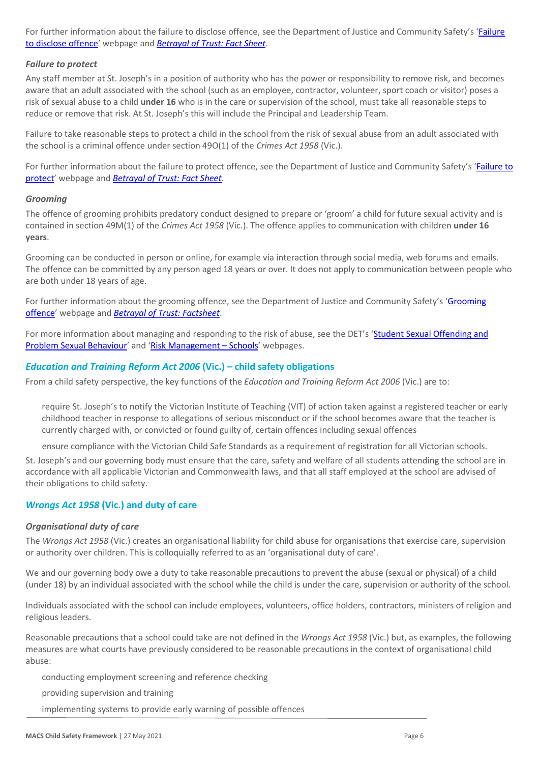For further information about the failure to disclose offence, see the Department of Justice and Community Safety'[s 'Failure](https://www.justice.vic.gov.au/safer-communities/protecting-children-and-families/failure-to-disclose-offence) [to disclose offence'](https://www.justice.vic.gov.au/safer-communities/protecting-children-and-families/failure-to-disclose-offence) webpage and *[Betrayal of Trust: Fact Sheet](https://www.justice.vic.gov.au/sites/default/files/embridge_cache/emshare/original/public/2020/06/c5/7f42d28f3/betrayal_of_trust-organisational_duty_fact_sheet_2018%20.doc)*.

#### *Failure to protect*

Any staff member at St. Joseph's in a position of authority who has the power or responsibility to remove risk, and becomes aware that an adult associated with the school (such as an employee, contractor, volunteer, sport coach or visitor) poses a risk of sexual abuse to a child **under 16** who is in the care or supervision of the school, must take all reasonable steps to reduce or remove that risk. At St. Joseph's this will include the Principal and Leadership Team.

Failure to take reasonable steps to protect a child in the school from the risk of sexual abuse from an adult associated with the school is a criminal offence under section 49O(1) of the *Crimes Act 1958* (Vic.).

For further information about the failure to protect offence, see the Department of Justice and Community Safety's ['Failure to](https://www.justice.vic.gov.au/safer-communities/protecting-children-and-families/failure-to-protect-a-new-criminal-offence-to)  [protect' w](https://www.justice.vic.gov.au/safer-communities/protecting-children-and-families/failure-to-protect-a-new-criminal-offence-to)ebpage and *[Betrayal of Trust: Fact Sheet](https://www.justice.vic.gov.au/sites/default/files/embridge_cache/emshare/original/public/2020/06/e0/4460c5147/failure_to_protect_betrayal_of_trust_factsheet_2017.pdf)*.

#### *Grooming*

The offence of grooming prohibits predatory conduct designed to prepare or 'groom' a child for future sexual activity and is contained in section 49M(1) of the *Crimes Act 1958* (Vic.). The offence applies to communication with children **under 16 years**.

Grooming can be conducted in person or online, for example via interaction through social media, web forums and emails. The offence can be committed by any person aged 18 years or over. It does not apply to communication between people who are both under 18 years of age.

For further information about the grooming offence, see the Department of Justice and Community Safety's 'Grooming [offence'](https://www.justice.vic.gov.au/safer-communities/protecting-children-and-families/grooming-offence) webpage and *[Betrayal of Trust: Factsheet](https://www.justice.vic.gov.au/sites/default/files/embridge_cache/emshare/original/public/2020/06/e6/ea73d4b66/grooming_betrayal_of_trust_factsheet_2017.pdf)*.

For more information about managing and responding to the risk of abuse, see the DET's 'Student Sexual Offending and [Problem Sexual Behaviour'](https://www2.education.vic.gov.au/pal/student-sexual-behaviours/policy) and 'Risk Management - Schools' webpages.

#### *Education and Training Reform Act 2006* **(Vic.) – child safety obligations**

From a child safety perspective, the key functions of the *Education and Training Reform Act 2006* (Vic.) are to:

require St. Joseph's to notify the Victorian Institute of Teaching (VIT) of action taken against a registered teacher or early childhood teacher in response to allegations of serious misconduct or if the school becomes aware that the teacher is currently charged with, or convicted or found guilty of, certain offences including sexual offences

ensure compliance with the Victorian Child Safe Standards as a requirement of registration for all Victorian schools.

St. Joseph's and our governing body must ensure that the care, safety and welfare of all students attending the school are in accordance with all applicable Victorian and Commonwealth laws, and that all staff employed at the school are advised of their obligations to child safety.

#### *Wrongs Act 1958* **(Vic.) and duty of care**

#### *Organisational duty of care*

The *Wrongs Act 1958* (Vic.) creates an organisational liability for child abuse for organisations that exercise care, supervision or authority over children. This is colloquially referred to as an 'organisational duty of care'.

We and our governing body owe a duty to take reasonable precautions to prevent the abuse (sexual or physical) of a child (under 18) by an individual associated with the school while the child is under the care, supervision or authority of the school.

Individuals associated with the school can include employees, volunteers, office holders, contractors, ministers of religion and religious leaders.

Reasonable precautions that a school could take are not defined in the *Wrongs Act 1958* (Vic.) but, as examples, the following measures are what courts have previously considered to be reasonable precautions in the context of organisational child abuse:

conducting employment screening and reference checking

providing supervision and training

implementing systems to provide early warning of possible offences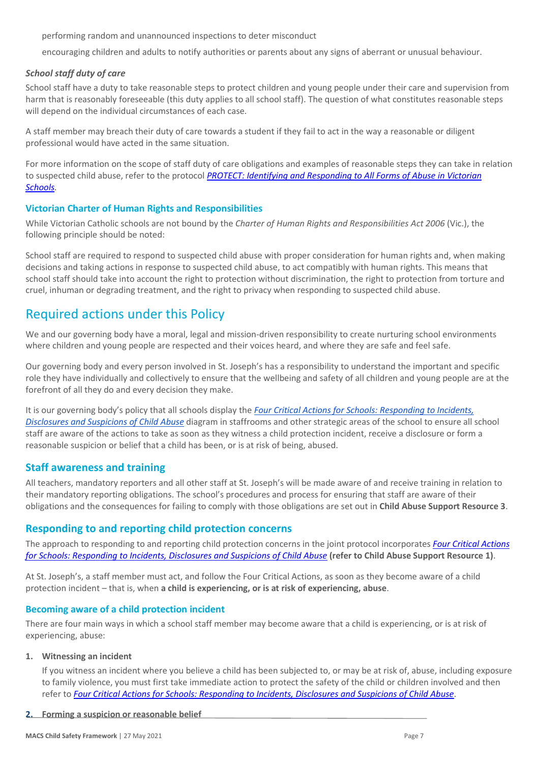performing random and unannounced inspections to deter misconduct

encouraging children and adults to notify authorities or parents about any signs of aberrant or unusual behaviour.

#### *School staff duty of care*

School staff have a duty to take reasonable steps to protect children and young people under their care and supervision from harm that is reasonably foreseeable (this duty applies to all school staff). The question of what constitutes reasonable steps will depend on the individual circumstances of each case.

A staff member may breach their duty of care towards a student if they fail to act in the way a reasonable or diligent professional would have acted in the same situation.

For more information on the scope of staff duty of care obligations and examples of reasonable steps they can take in relation to suspected child abuse, refer to the protocol *[PROTECT: Identifying and Responding to All Forms of Abuse in Victorian](http://www.education.vic.gov.au/Documents/about/programs/health/protect/ChildSafeStandard5_SchoolsGuide.pdf)  [Schools.](http://www.education.vic.gov.au/Documents/about/programs/health/protect/ChildSafeStandard5_SchoolsGuide.pdf)*

#### **Victorian Charter of Human Rights and Responsibilities**

While Victorian Catholic schools are not bound by the *Charter of Human Rights and Responsibilities Act 2006* (Vic.), the following principle should be noted:

School staff are required to respond to suspected child abuse with proper consideration for human rights and, when making decisions and taking actions in response to suspected child abuse, to act compatibly with human rights. This means that school staff should take into account the right to protection without discrimination, the right to protection from torture and cruel, inhuman or degrading treatment, and the right to privacy when responding to suspected child abuse.

# Required actions under this Policy

We and our governing body have a moral, legal and mission-driven responsibility to create nurturing school environments where children and young people are respected and their voices heard, and where they are safe and feel safe.

Our governing body and every person involved in St. Joseph's has a responsibility to understand the important and specific role they have individually and collectively to ensure that the wellbeing and safety of all children and young people are at the forefront of all they do and every decision they make.

It is our governing body's policy that all schools display the *[Four Critical Actions for Schools: Responding to Incidents,](http://www.education.vic.gov.au/Documents/about/programs/health/protect/FourCriticalActions_ChildAbuse.pdf)  [Disclosures and Suspicions of Child Abuse](http://www.education.vic.gov.au/Documents/about/programs/health/protect/FourCriticalActions_ChildAbuse.pdf)* diagram in staffrooms and other strategic areas of the school to ensure all school staff are aware of the actions to take as soon as they witness a child protection incident, receive a disclosure or form a reasonable suspicion or belief that a child has been, or is at risk of being, abused.

### **Staff awareness and training**

All teachers, mandatory reporters and all other staff at St. Joseph's will be made aware of and receive training in relation to their mandatory reporting obligations. The school's procedures and process for ensuring that staff are aware of their obligations and the consequences for failing to comply with those obligations are set out in **Child Abuse Support Resource 3**.

### **Responding to and reporting child protection concerns**

The approach to responding to and reporting child protection concerns in the joint protocol incorporates *[Four Critical Actions](http://www.education.vic.gov.au/Documents/about/programs/health/protect/FourCriticalActions_ChildAbuse.pdf)  [for Schools: Responding to Incidents, Disclosures and Suspicions of Child Abuse](http://www.education.vic.gov.au/Documents/about/programs/health/protect/FourCriticalActions_ChildAbuse.pdf)* **[\(refer to Child Abuse Support Resource 1\)](http://www.education.vic.gov.au/Documents/about/programs/health/protect/FourCriticalActions_ChildAbuse.pdf)**[.](http://www.education.vic.gov.au/Documents/about/programs/health/protect/FourCriticalActions_ChildAbuse.pdf)

At St. Joseph's, a staff member must act, and follow the Four Critical Actions, as soon as they become aware of a child protection incident – that is, when **a child is experiencing, or is at risk of experiencing, abuse**.

#### **Becoming aware of a child protection incident**

There are four main ways in which a school staff member may become aware that a child is experiencing, or is at risk of experiencing, abuse:

#### **1. Witnessing an incident**

If you witness an incident where you believe a child has been subjected to, or may be at risk of, abuse, including exposure to family violence, you must first take immediate action to protect the safety of the child or children involved and then refer to *[Four Critical Actions for Schools: Responding to Incidents, Disclosures and Suspicions of Child Abuse](http://www.education.vic.gov.au/Documents/about/programs/health/protect/FourCriticalActions_ChildAbuse.pdf)*.

#### **2. Forming a suspicion or reasonable belief**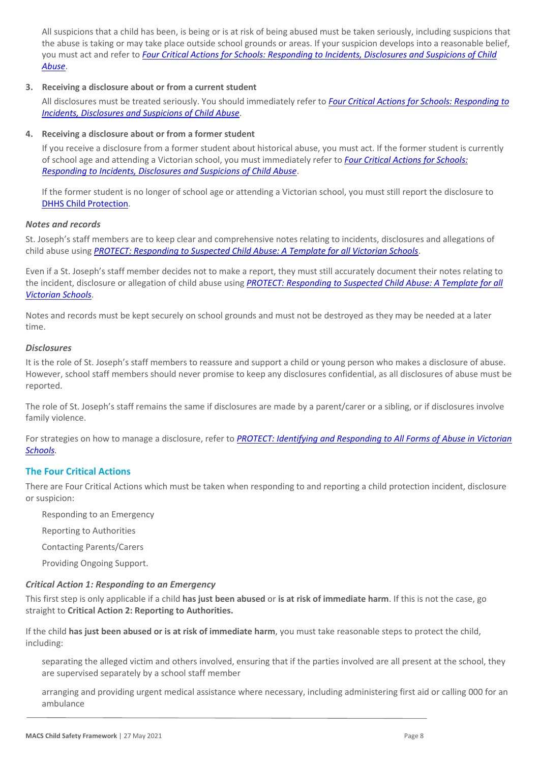All suspicions that a child has been, is being or is at risk of being abused must be taken seriously, including suspicions that the abuse is taking or may take place outside school grounds or areas. If your suspicion develops into a reasonable belief, you must act and refer to *[Four Critical Actions for Schools: Responding to Incidents, Disclosures and Suspicions of Child](http://www.education.vic.gov.au/Documents/about/programs/health/protect/FourCriticalActions_ChildAbuse.pdf)  [Abuse](http://www.education.vic.gov.au/Documents/about/programs/health/protect/FourCriticalActions_ChildAbuse.pdf)*.

#### **3. Receiving a disclosure about or from a current student**

All disclosures must be treated seriously. You should immediately refer to *[Four Critical Actions for Schools: Responding to](http://www.education.vic.gov.au/Documents/about/programs/health/protect/FourCriticalActions_ChildAbuse.pdf)  [Incidents, Disclosures and Suspicions of Child Abuse](http://www.education.vic.gov.au/Documents/about/programs/health/protect/FourCriticalActions_ChildAbuse.pdf)*[.](http://www.education.vic.gov.au/Documents/about/programs/health/protect/FourCriticalActions_ChildAbuse.pdf)

#### **4. Receiving a disclosure about or from a former student**

If you receive a disclosure from a former student about historical abuse, you must act. If the former student is currently of school age and attending a Victorian school, you must immediately refer to *[Four Critical Actions for Schools:](http://www.education.vic.gov.au/Documents/about/programs/health/protect/FourCriticalActions_ChildAbuse.pdf)  [Responding to Incidents, Disclosures and Suspicions of Child Abuse](http://www.education.vic.gov.au/Documents/about/programs/health/protect/FourCriticalActions_ChildAbuse.pdf)*[.](http://www.education.vic.gov.au/Documents/about/programs/health/protect/FourCriticalActions_ChildAbuse.pdf)

If the former student is no longer of school age or attending a Victorian school, you must still report the disclosure to [DHHS Child Protection.](https://www.education.vic.gov.au/about/contact/Pages/reportingabuse.aspx)

### *Notes and records*

St. Joseph's staff members are to keep clear and comprehensive notes relating to incidents, disclosures and allegations of child abuse using *[PROTECT: Responding to Suspected Child Abuse: A Template for all Victorian Schools](http://www.education.vic.gov.au/Documents/about/programs/health/protect/PROTECT_Responding_TemplateSchools.pdf)*.

Even if a St. Joseph's staff member decides not to make a report, they must still accurately document their notes relating to the incident, disclosure or allegation of child abuse using *[PROTECT: Responding to Suspected Child Abuse: A Template for all](http://www.education.vic.gov.au/Documents/about/programs/health/protect/PROTECT_Responding_TemplateSchools.pdf)  [Victorian Schools](http://www.education.vic.gov.au/Documents/about/programs/health/protect/PROTECT_Responding_TemplateSchools.pdf)*.

Notes and records must be kept securely on school grounds and must not be destroyed as they may be needed at a later time.

#### *Disclosures*

It is the role of St. Joseph's staff members to reassure and support a child or young person who makes a disclosure of abuse. However, school staff members should never promise to keep any disclosures confidential, as all disclosures of abuse must be reported.

The role of St. Joseph's staff remains the same if disclosures are made by a parent/carer or a sibling, or if disclosures involve family violence.

For strategies on how to manage a disclosure, refer to *[PROTECT: Identifying and Responding to All Forms of Abuse in Victorian](http://www.education.vic.gov.au/Documents/about/programs/health/protect/ChildSafeStandard5_SchoolsGuide.pdf)  [Schools.](http://www.education.vic.gov.au/Documents/about/programs/health/protect/ChildSafeStandard5_SchoolsGuide.pdf)*

### **The Four Critical Actions**

There are Four Critical Actions which must be taken when responding to and reporting a child protection incident, disclosure or suspicion:

- Responding to an Emergency
- **Reporting to Authorities**
- 3. Contacting Parents/Carers
- Providing Ongoing Support.

#### *Critical Action 1: Responding to an Emergency*

This first step is only applicable if a child **has just been abused** or **is at risk of immediate harm**. If this is not the case, go straight to **Critical Action 2: Reporting to Authorities.**

If the child **has just been abused or is at risk of immediate harm**, you must take reasonable steps to protect the child, including:

separating the alleged victim and others involved, ensuring that if the parties involved are all present at the school, they are supervised separately by a school staff member

arranging and providing urgent medical assistance where necessary, including administering first aid or calling 000 for an ambulance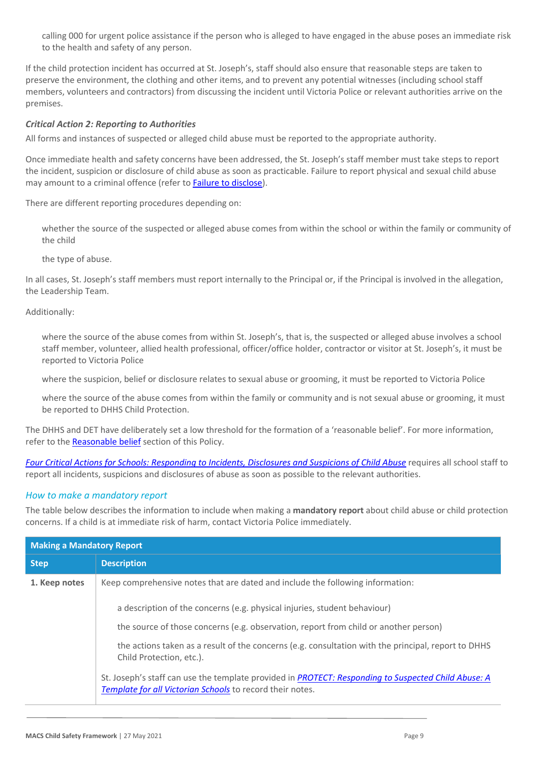calling 000 for urgent police assistance if the person who is alleged to have engaged in the abuse poses an immediate risk to the health and safety of any person.

If the child protection incident has occurred at St. Joseph's, staff should also ensure that reasonable steps are taken to preserve the environment, the clothing and other items, and to prevent any potential witnesses (including school staff members, volunteers and contractors) from discussing the incident until Victoria Police or relevant authorities arrive on the premises.

#### *Critical Action 2: Reporting to Authorities*

All forms and instances of suspected or alleged child abuse must be reported to the appropriate authority.

Once immediate health and safety concerns have been addressed, the St. Joseph's staff member must take steps to report the incident, suspicion or disclosure of child abuse as soon as practicable. Failure to report physical and sexual child abuse may amount to a criminal offence (refer to [Failure to disclose\)](#page-4-0).

There are different reporting procedures depending on:

whether the source of the suspected or alleged abuse comes from within the school or within the family or community of the child

the type of abuse.

In all cases, St. Joseph's staff members must report internally to the Principal or, if the Principal is involved in the allegation, the Leadership Team.

Additionally:

where the source of the abuse comes from within St. Joseph's, that is, the suspected or alleged abuse involves a school staff member, volunteer, allied health professional, officer/office holder, contractor or visitor at St. Joseph's, it must be reported to Victoria Police

where the suspicion, belief or disclosure relates to sexual abuse or grooming, it must be reported to Victoria Police

where the source of the abuse comes from within the family or community and is not sexual abuse or grooming, it must be reported to DHHS Child Protection.

The DHHS and DET have deliberately set a low threshold for the formation of a 'reasonable belief'. For more information, refer to the [Reasonable belief](#page-3-0) section of this Policy.

*[Four Critical Actions for Schools: Responding to Incidents, Disclosures and Suspicions of Child Abuse](http://www.education.vic.gov.au/Documents/about/programs/health/protect/FourCriticalActions_ChildAbuse.pdf)* requires all school staff to report all incidents, suspicions and disclosures of abuse as soon as possible to the relevant authorities.

#### *How to make a mandatory report*

The table below describes the information to include when making a **mandatory report** about child abuse or child protection concerns. If a child is at immediate risk of harm, contact Victoria Police immediately.

| <b>Making a Mandatory Report</b> |                                                                                                                                                                  |  |  |  |
|----------------------------------|------------------------------------------------------------------------------------------------------------------------------------------------------------------|--|--|--|
| <b>Step</b>                      | <b>Description</b>                                                                                                                                               |  |  |  |
| 1. Keep notes                    | Keep comprehensive notes that are dated and include the following information:                                                                                   |  |  |  |
|                                  | a description of the concerns (e.g. physical injuries, student behaviour)                                                                                        |  |  |  |
|                                  | the source of those concerns (e.g. observation, report from child or another person)                                                                             |  |  |  |
|                                  | the actions taken as a result of the concerns (e.g. consultation with the principal, report to DHHS<br>Child Protection, etc.).                                  |  |  |  |
|                                  | St. Joseph's staff can use the template provided in PROTECT: Responding to Suspected Child Abuse: A<br>Template for all Victorian Schools to record their notes. |  |  |  |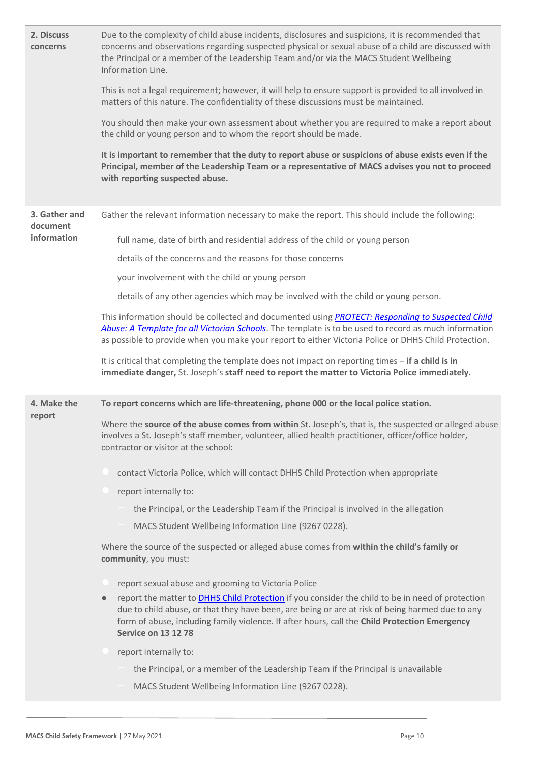| 2. Discuss<br>concerns    | Due to the complexity of child abuse incidents, disclosures and suspicions, it is recommended that<br>concerns and observations regarding suspected physical or sexual abuse of a child are discussed with<br>the Principal or a member of the Leadership Team and/or via the MACS Student Wellbeing<br>Information Line.<br>This is not a legal requirement; however, it will help to ensure support is provided to all involved in<br>matters of this nature. The confidentiality of these discussions must be maintained.<br>You should then make your own assessment about whether you are required to make a report about<br>the child or young person and to whom the report should be made.<br>It is important to remember that the duty to report abuse or suspicions of abuse exists even if the<br>Principal, member of the Leadership Team or a representative of MACS advises you not to proceed<br>with reporting suspected abuse. |
|---------------------------|-------------------------------------------------------------------------------------------------------------------------------------------------------------------------------------------------------------------------------------------------------------------------------------------------------------------------------------------------------------------------------------------------------------------------------------------------------------------------------------------------------------------------------------------------------------------------------------------------------------------------------------------------------------------------------------------------------------------------------------------------------------------------------------------------------------------------------------------------------------------------------------------------------------------------------------------------|
| 3. Gather and<br>document | Gather the relevant information necessary to make the report. This should include the following:                                                                                                                                                                                                                                                                                                                                                                                                                                                                                                                                                                                                                                                                                                                                                                                                                                                |
| information               | full name, date of birth and residential address of the child or young person                                                                                                                                                                                                                                                                                                                                                                                                                                                                                                                                                                                                                                                                                                                                                                                                                                                                   |
|                           | details of the concerns and the reasons for those concerns                                                                                                                                                                                                                                                                                                                                                                                                                                                                                                                                                                                                                                                                                                                                                                                                                                                                                      |
|                           | your involvement with the child or young person                                                                                                                                                                                                                                                                                                                                                                                                                                                                                                                                                                                                                                                                                                                                                                                                                                                                                                 |
|                           | details of any other agencies which may be involved with the child or young person.                                                                                                                                                                                                                                                                                                                                                                                                                                                                                                                                                                                                                                                                                                                                                                                                                                                             |
|                           | This information should be collected and documented using PROTECT: Responding to Suspected Child<br>Abuse: A Template for all Victorian Schools. The template is to be used to record as much information<br>as possible to provide when you make your report to either Victoria Police or DHHS Child Protection.                                                                                                                                                                                                                                                                                                                                                                                                                                                                                                                                                                                                                               |
|                           | It is critical that completing the template does not impact on reporting times - if a child is in<br>immediate danger, St. Joseph's staff need to report the matter to Victoria Police immediately.                                                                                                                                                                                                                                                                                                                                                                                                                                                                                                                                                                                                                                                                                                                                             |
| 4. Make the<br>report     | To report concerns which are life-threatening, phone 000 or the local police station.<br>Where the source of the abuse comes from within St. Joseph's, that is, the suspected or alleged abuse<br>involves a St. Joseph's staff member, volunteer, allied health practitioner, officer/office holder,<br>contractor or visitor at the school:                                                                                                                                                                                                                                                                                                                                                                                                                                                                                                                                                                                                   |
|                           | contact Victoria Police, which will contact DHHS Child Protection when appropriate                                                                                                                                                                                                                                                                                                                                                                                                                                                                                                                                                                                                                                                                                                                                                                                                                                                              |
|                           | report internally to:                                                                                                                                                                                                                                                                                                                                                                                                                                                                                                                                                                                                                                                                                                                                                                                                                                                                                                                           |
|                           | the Principal, or the Leadership Team if the Principal is involved in the allegation                                                                                                                                                                                                                                                                                                                                                                                                                                                                                                                                                                                                                                                                                                                                                                                                                                                            |
|                           | MACS Student Wellbeing Information Line (9267 0228).                                                                                                                                                                                                                                                                                                                                                                                                                                                                                                                                                                                                                                                                                                                                                                                                                                                                                            |
|                           | Where the source of the suspected or alleged abuse comes from within the child's family or<br>community, you must:                                                                                                                                                                                                                                                                                                                                                                                                                                                                                                                                                                                                                                                                                                                                                                                                                              |
|                           | report sexual abuse and grooming to Victoria Police                                                                                                                                                                                                                                                                                                                                                                                                                                                                                                                                                                                                                                                                                                                                                                                                                                                                                             |
|                           | report the matter to DHHS Child Protection if you consider the child to be in need of protection<br>$\bullet$<br>due to child abuse, or that they have been, are being or are at risk of being harmed due to any<br>form of abuse, including family violence. If after hours, call the Child Protection Emergency<br><b>Service on 13 12 78</b>                                                                                                                                                                                                                                                                                                                                                                                                                                                                                                                                                                                                 |
|                           | report internally to:                                                                                                                                                                                                                                                                                                                                                                                                                                                                                                                                                                                                                                                                                                                                                                                                                                                                                                                           |
|                           | the Principal, or a member of the Leadership Team if the Principal is unavailable                                                                                                                                                                                                                                                                                                                                                                                                                                                                                                                                                                                                                                                                                                                                                                                                                                                               |
|                           | MACS Student Wellbeing Information Line (9267 0228).                                                                                                                                                                                                                                                                                                                                                                                                                                                                                                                                                                                                                                                                                                                                                                                                                                                                                            |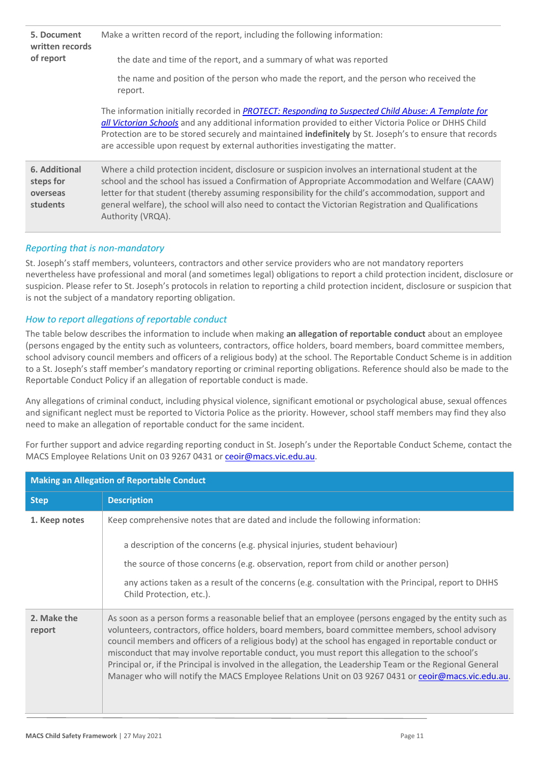| 5. Document<br>written records                     | Make a written record of the report, including the following information:                                                                                                                                                                                                                                                                                                                                                                  |  |  |
|----------------------------------------------------|--------------------------------------------------------------------------------------------------------------------------------------------------------------------------------------------------------------------------------------------------------------------------------------------------------------------------------------------------------------------------------------------------------------------------------------------|--|--|
| of report                                          | the date and time of the report, and a summary of what was reported                                                                                                                                                                                                                                                                                                                                                                        |  |  |
|                                                    | the name and position of the person who made the report, and the person who received the<br>report.                                                                                                                                                                                                                                                                                                                                        |  |  |
|                                                    | The information initially recorded in PROTECT: Responding to Suspected Child Abuse: A Template for<br>all Victorian Schools and any additional information provided to either Victoria Police or DHHS Child<br>Protection are to be stored securely and maintained indefinitely by St. Joseph's to ensure that records<br>are accessible upon request by external authorities investigating the matter.                                    |  |  |
| 6. Additional<br>steps for<br>overseas<br>students | Where a child protection incident, disclosure or suspicion involves an international student at the<br>school and the school has issued a Confirmation of Appropriate Accommodation and Welfare (CAAW)<br>letter for that student (thereby assuming responsibility for the child's accommodation, support and<br>general welfare), the school will also need to contact the Victorian Registration and Qualifications<br>Authority (VRQA). |  |  |

### *Reporting that is non-mandatory*

St. Joseph's staff members, volunteers, contractors and other service providers who are not mandatory reporters nevertheless have professional and moral (and sometimes legal) obligations to report a child protection incident, disclosure or suspicion. Please refer to St. Joseph's protocols in relation to reporting a child protection incident, disclosure or suspicion that is not the subject of a mandatory reporting obligation.

### *How to report allegations of reportable conduct*

The table below describes the information to include when making **an allegation of reportable conduct** about an employee (persons engaged by the entity such as volunteers, contractors, office holders, board members, board committee members, school advisory council members and officers of a religious body) at the school. The Reportable Conduct Scheme is in addition to a St. Joseph's staff member's mandatory reporting or criminal reporting obligations. Reference should also be made to the Reportable Conduct Policy if an allegation of reportable conduct is made.

Any allegations of criminal conduct, including physical violence, significant emotional or psychological abuse, sexual offences and significant neglect must be reported to Victoria Police as the priority. However, school staff members may find they also need to make an allegation of reportable conduct for the same incident.

For further support and advice regarding reporting conduct in St. Joseph's under the Reportable Conduct Scheme, contact the MACS Employee Relations Unit on 03 9267 0431 o[r ceoir@macs.vic.edu.au.](about:blank)

| <b>Making an Allegation of Reportable Conduct</b> |                                                                                                                                                                                                                                                                                                                                                                                                                                                                                                                                                                                                                                         |  |
|---------------------------------------------------|-----------------------------------------------------------------------------------------------------------------------------------------------------------------------------------------------------------------------------------------------------------------------------------------------------------------------------------------------------------------------------------------------------------------------------------------------------------------------------------------------------------------------------------------------------------------------------------------------------------------------------------------|--|
| <b>Step</b>                                       | <b>Description</b>                                                                                                                                                                                                                                                                                                                                                                                                                                                                                                                                                                                                                      |  |
| 1. Keep notes                                     | Keep comprehensive notes that are dated and include the following information:<br>a description of the concerns (e.g. physical injuries, student behaviour)<br>the source of those concerns (e.g. observation, report from child or another person)<br>any actions taken as a result of the concerns (e.g. consultation with the Principal, report to DHHS<br>Child Protection, etc.).                                                                                                                                                                                                                                                  |  |
| 2. Make the<br>report                             | As soon as a person forms a reasonable belief that an employee (persons engaged by the entity such as<br>volunteers, contractors, office holders, board members, board committee members, school advisory<br>council members and officers of a religious body) at the school has engaged in reportable conduct or<br>misconduct that may involve reportable conduct, you must report this allegation to the school's<br>Principal or, if the Principal is involved in the allegation, the Leadership Team or the Regional General<br>Manager who will notify the MACS Employee Relations Unit on 03 9267 0431 or ceoir@macs.vic.edu.au. |  |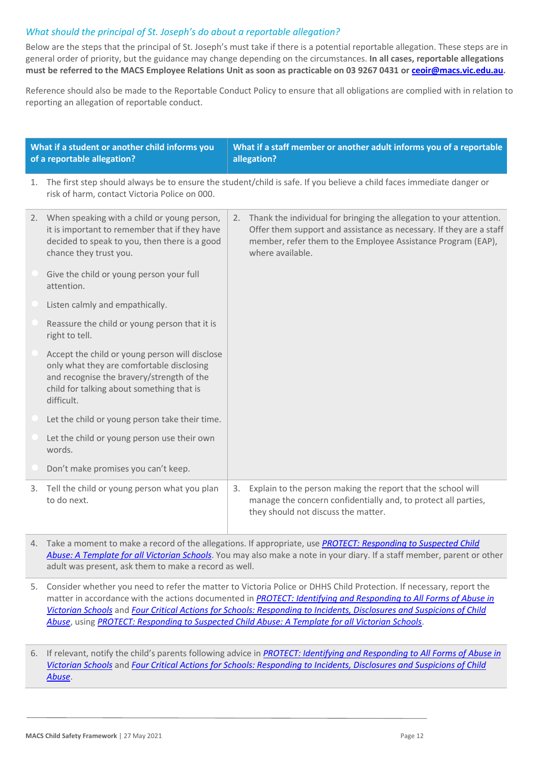### *What should the principal of St. Joseph's do about a reportable allegation?*

Below are the steps that the principal of St. Joseph's must take if there is a potential reportable allegation. These steps are in general order of priority, but the guidance may change depending on the circumstances. **In all cases, reportable allegations must be referred to the MACS Employee Relations Unit as soon as practicable on 03 9267 0431 o[r ceoir@macs.vic.edu.au.](mailto:ceoir@macs.vic.edu.au)**

Reference should also be made to the Reportable Conduct Policy to ensure that all obligations are complied with in relation to reporting an allegation of reportable conduct.

| What if a student or another child informs you<br>of a reportable allegation? |                                                                                                                                                                                                     |    | What if a staff member or another adult informs you of a reportable<br>allegation?                                                                                                                                                |
|-------------------------------------------------------------------------------|-----------------------------------------------------------------------------------------------------------------------------------------------------------------------------------------------------|----|-----------------------------------------------------------------------------------------------------------------------------------------------------------------------------------------------------------------------------------|
| 1.                                                                            | risk of harm, contact Victoria Police on 000.                                                                                                                                                       |    | The first step should always be to ensure the student/child is safe. If you believe a child faces immediate danger or                                                                                                             |
|                                                                               | 2. When speaking with a child or young person,<br>it is important to remember that if they have<br>decided to speak to you, then there is a good<br>chance they trust you.                          |    | 2. Thank the individual for bringing the allegation to your attention.<br>Offer them support and assistance as necessary. If they are a staff<br>member, refer them to the Employee Assistance Program (EAP),<br>where available. |
|                                                                               | Give the child or young person your full<br>attention.                                                                                                                                              |    |                                                                                                                                                                                                                                   |
|                                                                               | Listen calmly and empathically.                                                                                                                                                                     |    |                                                                                                                                                                                                                                   |
|                                                                               | Reassure the child or young person that it is<br>right to tell.                                                                                                                                     |    |                                                                                                                                                                                                                                   |
|                                                                               | Accept the child or young person will disclose<br>only what they are comfortable disclosing<br>and recognise the bravery/strength of the<br>child for talking about something that is<br>difficult. |    |                                                                                                                                                                                                                                   |
|                                                                               | Let the child or young person take their time.                                                                                                                                                      |    |                                                                                                                                                                                                                                   |
|                                                                               | Let the child or young person use their own<br>words.                                                                                                                                               |    |                                                                                                                                                                                                                                   |
|                                                                               | Don't make promises you can't keep.                                                                                                                                                                 |    |                                                                                                                                                                                                                                   |
| 3.                                                                            | Tell the child or young person what you plan<br>to do next.                                                                                                                                         | 3. | Explain to the person making the report that the school will<br>manage the concern confidentially and, to protect all parties,<br>they should not discuss the matter.                                                             |

- 4. Take a moment to make a record of the allegations. If appropriate, use *[PROTECT: Responding to Suspected Child](http://www.education.vic.gov.au/Documents/about/programs/health/protect/PROTECT_Responding_TemplateSchools.pdf)  [Abuse: A Template for all Victorian Schools](http://www.education.vic.gov.au/Documents/about/programs/health/protect/PROTECT_Responding_TemplateSchools.pdf)*. You may also make a note in your diary. If a staff member, parent or other adult was present, ask them to make a record as well.
- 5. Consider whether you need to refer the matter to Victoria Police or DHHS Child Protection. If necessary, report the matter in accordance with the actions documented in *[PROTECT: Identifying and Responding to All Forms of Abuse in](http://www.education.vic.gov.au/Documents/about/programs/health/protect/ChildSafeStandard5_SchoolsGuide.pdf)  [Victorian Schools](http://www.education.vic.gov.au/Documents/about/programs/health/protect/ChildSafeStandard5_SchoolsGuide.pdf)* and *[Four Critical Actions for Schools: Responding to Incidents, Disclosures and Suspicions of Child](http://www.education.vic.gov.au/Documents/about/programs/health/protect/FourCriticalActions_ChildAbuse.pdf)  [Abuse](http://www.education.vic.gov.au/Documents/about/programs/health/protect/FourCriticalActions_ChildAbuse.pdf)*, using *[PROTECT: Responding to Suspected Child Abuse: A Template for all Victorian Schools](http://www.education.vic.gov.au/Documents/about/programs/health/protect/PROTECT_Responding_TemplateSchools.pdf)*.
- 6. If relevant, notify the child's parents following advice in *[PROTECT: Identifying and Responding to All Forms of Abuse in](http://www.education.vic.gov.au/Documents/about/programs/health/protect/ChildSafeStandard5_SchoolsGuide.pdf)  [Victorian Schools](http://www.education.vic.gov.au/Documents/about/programs/health/protect/ChildSafeStandard5_SchoolsGuide.pdf)* and *[Four Critical Actions for Schools: Responding to Incidents, Disclosures and Suspicions of Child](http://www.education.vic.gov.au/Documents/about/programs/health/protect/FourCriticalActions_ChildAbuse.pdf)  [Abuse](http://www.education.vic.gov.au/Documents/about/programs/health/protect/FourCriticalActions_ChildAbuse.pdf)*.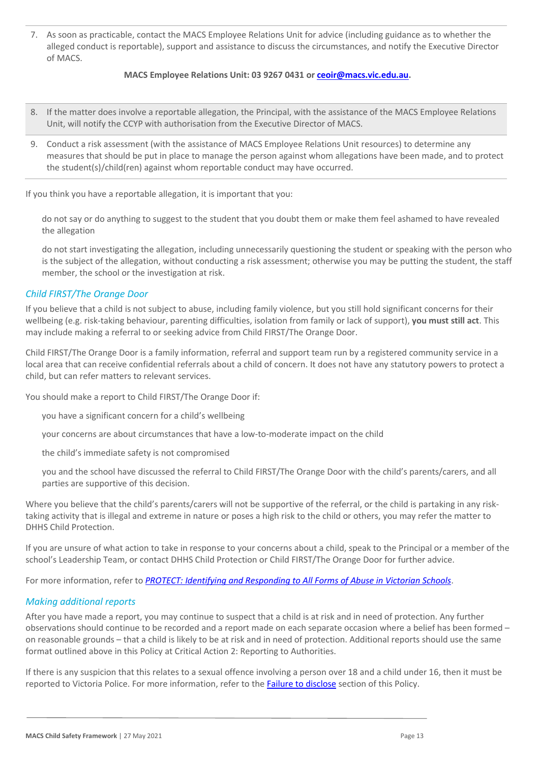7. As soon as practicable, contact the MACS Employee Relations Unit for advice (including guidance as to whether the alleged conduct is reportable), support and assistance to discuss the circumstances, and notify the Executive Director of MACS.

#### **MACS Employee Relations Unit: 03 9267 0431 or [ceoir@macs.vic.edu.au.](mailto:ceoir@macs.vic.edu.au)**

- 8. If the matter does involve a reportable allegation, the Principal, with the assistance of the MACS Employee Relations Unit, will notify the CCYP with authorisation from the Executive Director of MACS.
- 9. Conduct a risk assessment (with the assistance of MACS Employee Relations Unit resources) to determine any measures that should be put in place to manage the person against whom allegations have been made, and to protect the student(s)/child(ren) against whom reportable conduct may have occurred.

If you think you have a reportable allegation, it is important that you:

do not say or do anything to suggest to the student that you doubt them or make them feel ashamed to have revealed the allegation

do not start investigating the allegation, including unnecessarily questioning the student or speaking with the person who is the subject of the allegation, without conducting a risk assessment; otherwise you may be putting the student, the staff member, the school or the investigation at risk.

### *Child FIRST/The Orange Door*

If you believe that a child is not subject to abuse, including family violence, but you still hold significant concerns for their wellbeing (e.g. risk-taking behaviour, parenting difficulties, isolation from family or lack of support), **you must still act**. This may include making a referral to or seeking advice from Child FIRST/The Orange Door.

Child FIRST/The Orange Door is a family information, referral and support team run by a registered community service in a local area that can receive confidential referrals about a child of concern. It does not have any statutory powers to protect a child, but can refer matters to relevant services.

You should make a report to Child FIRST/The Orange Door if:

you have a significant concern for a child's wellbeing

your concerns are about circumstances that have a low-to-moderate impact on the child

the child's immediate safety is not compromised

you and the school have discussed the referral to Child FIRST/The Orange Door with the child's parents/carers, and all parties are supportive of this decision.

Where you believe that the child's parents/carers will not be supportive of the referral, or the child is partaking in any risktaking activity that is illegal and extreme in nature or poses a high risk to the child or others, you may refer the matter to DHHS Child Protection.

If you are unsure of what action to take in response to your concerns about a child, speak to the Principal or a member of the school's Leadership Team, or contact DHHS Child Protection or Child FIRST/The Orange Door for further advice.

For more information, refer to *[PROTECT: Identifying and Responding to All Forms of Abuse in Victorian Schools](http://www.education.vic.gov.au/Documents/about/programs/health/protect/ChildSafeStandard5_SchoolsGuide.pdf)*.

#### *Making additional reports*

After you have made a report, you may continue to suspect that a child is at risk and in need of protection. Any further observations should continue to be recorded and a report made on each separate occasion where a belief has been formed – on reasonable grounds – that a child is likely to be at risk and in need of protection. Additional reports should use the same format outlined above in this Policy at Critical Action 2: Reporting to Authorities.

If there is any suspicion that this relates to a sexual offence involving a person over 18 and a child under 16, then it must be reported to Victoria Police. For more information, refer to th[e Failure to disclose](#page-4-0) section of this Policy.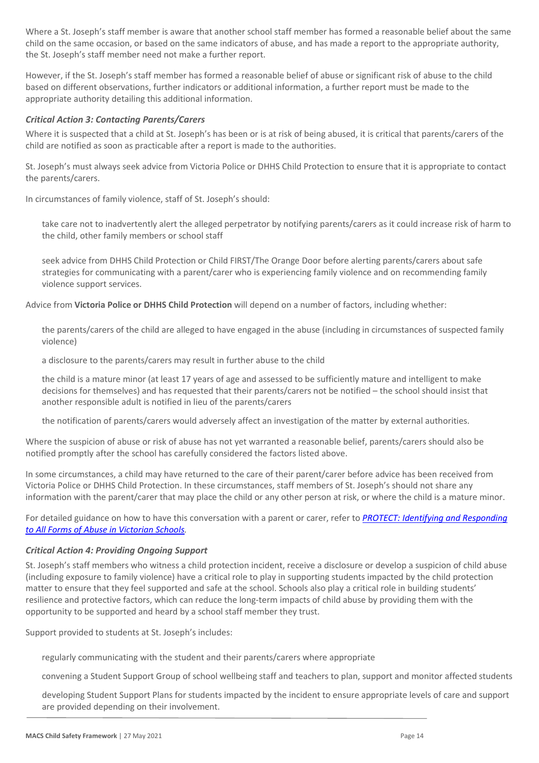Where a St. Joseph's staff member is aware that another school staff member has formed a reasonable belief about the same child on the same occasion, or based on the same indicators of abuse, and has made a report to the appropriate authority, the St. Joseph's staff member need not make a further report.

However, if the St. Joseph's staff member has formed a reasonable belief of abuse or significant risk of abuse to the child based on different observations, further indicators or additional information, a further report must be made to the appropriate authority detailing this additional information.

#### *Critical Action 3: Contacting Parents/Carers*

Where it is suspected that a child at St. Joseph's has been or is at risk of being abused, it is critical that parents/carers of the child are notified as soon as practicable after a report is made to the authorities.

St. Joseph's must always seek advice from Victoria Police or DHHS Child Protection to ensure that it is appropriate to contact the parents/carers.

In circumstances of family violence, staff of St. Joseph's should:

take care not to inadvertently alert the alleged perpetrator by notifying parents/carers as it could increase risk of harm to the child, other family members or school staff

seek advice from DHHS Child Protection or Child FIRST/The Orange Door before alerting parents/carers about safe strategies for communicating with a parent/carer who is experiencing family violence and on recommending family violence support services.

Advice from **Victoria Police or DHHS Child Protection** will depend on a number of factors, including whether:

the parents/carers of the child are alleged to have engaged in the abuse (including in circumstances of suspected family violence)

a disclosure to the parents/carers may result in further abuse to the child

the child is a mature minor (at least 17 years of age and assessed to be sufficiently mature and intelligent to make decisions for themselves) and has requested that their parents/carers not be notified – the school should insist that another responsible adult is notified in lieu of the parents/carers

the notification of parents/carers would adversely affect an investigation of the matter by external authorities.

Where the suspicion of abuse or risk of abuse has not yet warranted a reasonable belief, parents/carers should also be notified promptly after the school has carefully considered the factors listed above.

In some circumstances, a child may have returned to the care of their parent/carer before advice has been received from Victoria Police or DHHS Child Protection. In these circumstances, staff members of St. Joseph's should not share any information with the parent/carer that may place the child or any other person at risk, or where the child is a mature minor.

For detailed guidance on how to have this conversation with a parent or carer, refer to *[PROTECT: Identifying and Responding](http://www.education.vic.gov.au/Documents/about/programs/health/protect/ChildSafeStandard5_SchoolsGuide.pdf)  [to All Forms of Abuse in Victorian Schools.](http://www.education.vic.gov.au/Documents/about/programs/health/protect/ChildSafeStandard5_SchoolsGuide.pdf)*

#### *Critical Action 4: Providing Ongoing Support*

St. Joseph's staff members who witness a child protection incident, receive a disclosure or develop a suspicion of child abuse (including exposure to family violence) have a critical role to play in supporting students impacted by the child protection matter to ensure that they feel supported and safe at the school. Schools also play a critical role in building students' resilience and protective factors, which can reduce the long-term impacts of child abuse by providing them with the opportunity to be supported and heard by a school staff member they trust.

Support provided to students at St. Joseph's includes:

regularly communicating with the student and their parents/carers where appropriate

convening a Student Support Group of school wellbeing staff and teachers to plan, support and monitor affected students

developing Student Support Plans for students impacted by the incident to ensure appropriate levels of care and support are provided depending on their involvement.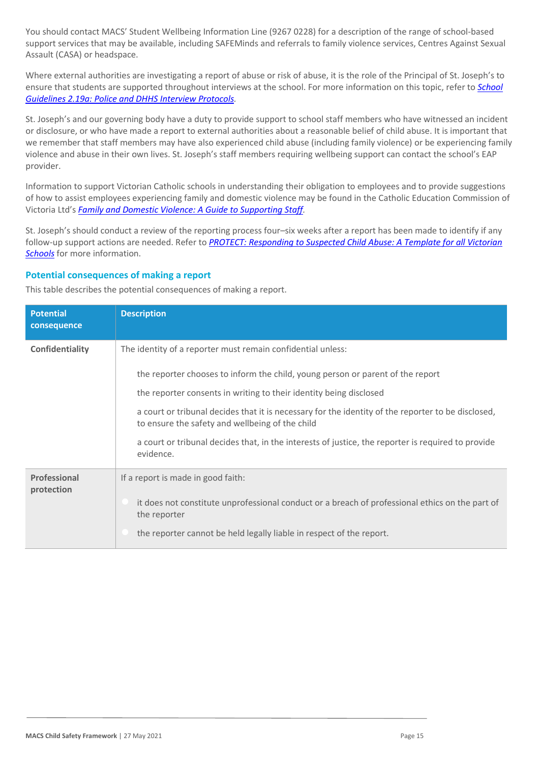You should contact MACS' Student Wellbeing Information Line (9267 0228) for a description of the range of school-based support services that may be available, including SAFEMinds and referrals to family violence services, Centres Against Sexual Assault (CASA) or headspace.

Where external authorities are investigating a report of abuse or risk of abuse, it is the role of the Principal of St. Joseph's to ensure that students are supported throughout interviews at the school. For more information on this topic, refer to *[School](https://www.cem.edu.au/About-Us/Policies/Police-and-DHHS-Interview-Protocols.aspx)  [Guidelines 2.19a: Police and DHHS Interview Protocols.](https://www.cem.edu.au/About-Us/Policies/Police-and-DHHS-Interview-Protocols.aspx)*

St. Joseph's and our governing body have a duty to provide support to school staff members who have witnessed an incident or disclosure, or who have made a report to external authorities about a reasonable belief of child abuse. It is important that we remember that staff members may have also experienced child abuse (including family violence) or be experiencing family violence and abuse in their own lives. St. Joseph's staff members requiring wellbeing support can contact the school's EAP provider.

Information to support Victorian Catholic schools in understanding their obligation to employees and to provide suggestions of how to assist employees experiencing family and domestic violence may be found in the Catholic Education Commission of Victoria Ltd's *[Family and Domestic Violence: A Guide to Supporting Staff.](https://www.cecv.catholic.edu.au/Media-Files/IR/Policies-Guidelines/Family-Domestic-Violence/Guide-to-family-and-domestic-violence-(1).aspx)*

St. Joseph's should conduct a review of the reporting process four–six weeks after a report has been made to identify if any follow-up support actions are needed. Refer to *[PROTECT: Responding to Suspected Child Abuse: A Template for all Victorian](http://www.education.vic.gov.au/Documents/about/programs/health/protect/PROTECT_Responding_TemplateSchools.pdf)  [Schools](http://www.education.vic.gov.au/Documents/about/programs/health/protect/PROTECT_Responding_TemplateSchools.pdf)* for more information.

#### **Potential consequences of making a report**

This table describes the potential consequences of making a report.

| <b>Potential</b><br>consequence | <b>Description</b>                                                                                                                                                                                                                                                                                                                                                                                                                                                                              |
|---------------------------------|-------------------------------------------------------------------------------------------------------------------------------------------------------------------------------------------------------------------------------------------------------------------------------------------------------------------------------------------------------------------------------------------------------------------------------------------------------------------------------------------------|
| Confidentiality                 | The identity of a reporter must remain confidential unless:<br>the reporter chooses to inform the child, young person or parent of the report<br>the reporter consents in writing to their identity being disclosed<br>a court or tribunal decides that it is necessary for the identity of the reporter to be disclosed,<br>to ensure the safety and wellbeing of the child<br>a court or tribunal decides that, in the interests of justice, the reporter is required to provide<br>evidence. |
| Professional<br>protection      | If a report is made in good faith:<br>it does not constitute unprofessional conduct or a breach of professional ethics on the part of<br>the reporter<br>the reporter cannot be held legally liable in respect of the report.                                                                                                                                                                                                                                                                   |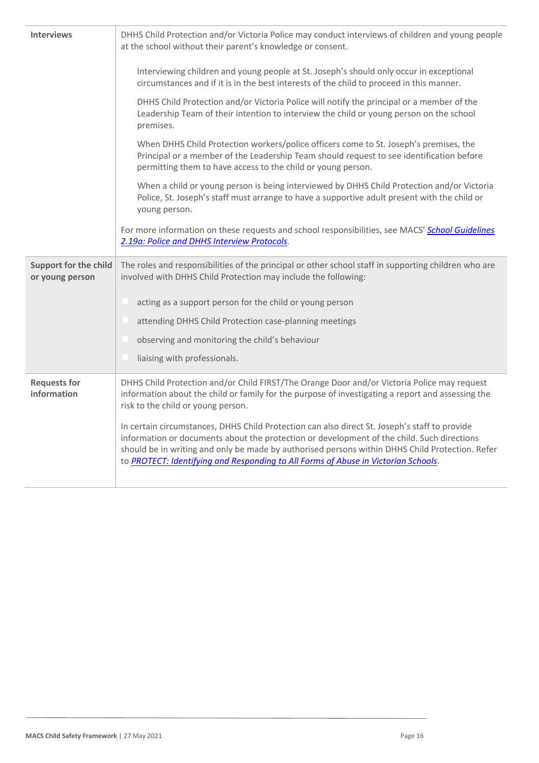| DHHS Child Protection and/or Victoria Police may conduct interviews of children and young people<br><b>Interviews</b><br>at the school without their parent's knowledge or consent. |                                                                                                                                                                                                                                                                                                                                                                                      |  |
|-------------------------------------------------------------------------------------------------------------------------------------------------------------------------------------|--------------------------------------------------------------------------------------------------------------------------------------------------------------------------------------------------------------------------------------------------------------------------------------------------------------------------------------------------------------------------------------|--|
|                                                                                                                                                                                     | Interviewing children and young people at St. Joseph's should only occur in exceptional<br>circumstances and if it is in the best interests of the child to proceed in this manner.                                                                                                                                                                                                  |  |
|                                                                                                                                                                                     | DHHS Child Protection and/or Victoria Police will notify the principal or a member of the<br>Leadership Team of their intention to interview the child or young person on the school<br>premises.                                                                                                                                                                                    |  |
|                                                                                                                                                                                     | When DHHS Child Protection workers/police officers come to St. Joseph's premises, the<br>Principal or a member of the Leadership Team should request to see identification before<br>permitting them to have access to the child or young person.                                                                                                                                    |  |
|                                                                                                                                                                                     | When a child or young person is being interviewed by DHHS Child Protection and/or Victoria<br>Police, St. Joseph's staff must arrange to have a supportive adult present with the child or<br>young person.                                                                                                                                                                          |  |
|                                                                                                                                                                                     | For more information on these requests and school responsibilities, see MACS' School Guidelines<br>2.19a: Police and DHHS Interview Protocols.                                                                                                                                                                                                                                       |  |
| <b>Support for the child</b><br>or young person                                                                                                                                     | The roles and responsibilities of the principal or other school staff in supporting children who are<br>involved with DHHS Child Protection may include the following:                                                                                                                                                                                                               |  |
|                                                                                                                                                                                     | acting as a support person for the child or young person                                                                                                                                                                                                                                                                                                                             |  |
|                                                                                                                                                                                     | attending DHHS Child Protection case-planning meetings                                                                                                                                                                                                                                                                                                                               |  |
|                                                                                                                                                                                     | observing and monitoring the child's behaviour                                                                                                                                                                                                                                                                                                                                       |  |
|                                                                                                                                                                                     | liaising with professionals.                                                                                                                                                                                                                                                                                                                                                         |  |
| <b>Requests for</b><br>information                                                                                                                                                  | DHHS Child Protection and/or Child FIRST/The Orange Door and/or Victoria Police may request<br>information about the child or family for the purpose of investigating a report and assessing the<br>risk to the child or young person.                                                                                                                                               |  |
|                                                                                                                                                                                     | In certain circumstances, DHHS Child Protection can also direct St. Joseph's staff to provide<br>information or documents about the protection or development of the child. Such directions<br>should be in writing and only be made by authorised persons within DHHS Child Protection. Refer<br>to PROTECT: Identifying and Responding to All Forms of Abuse in Victorian Schools. |  |